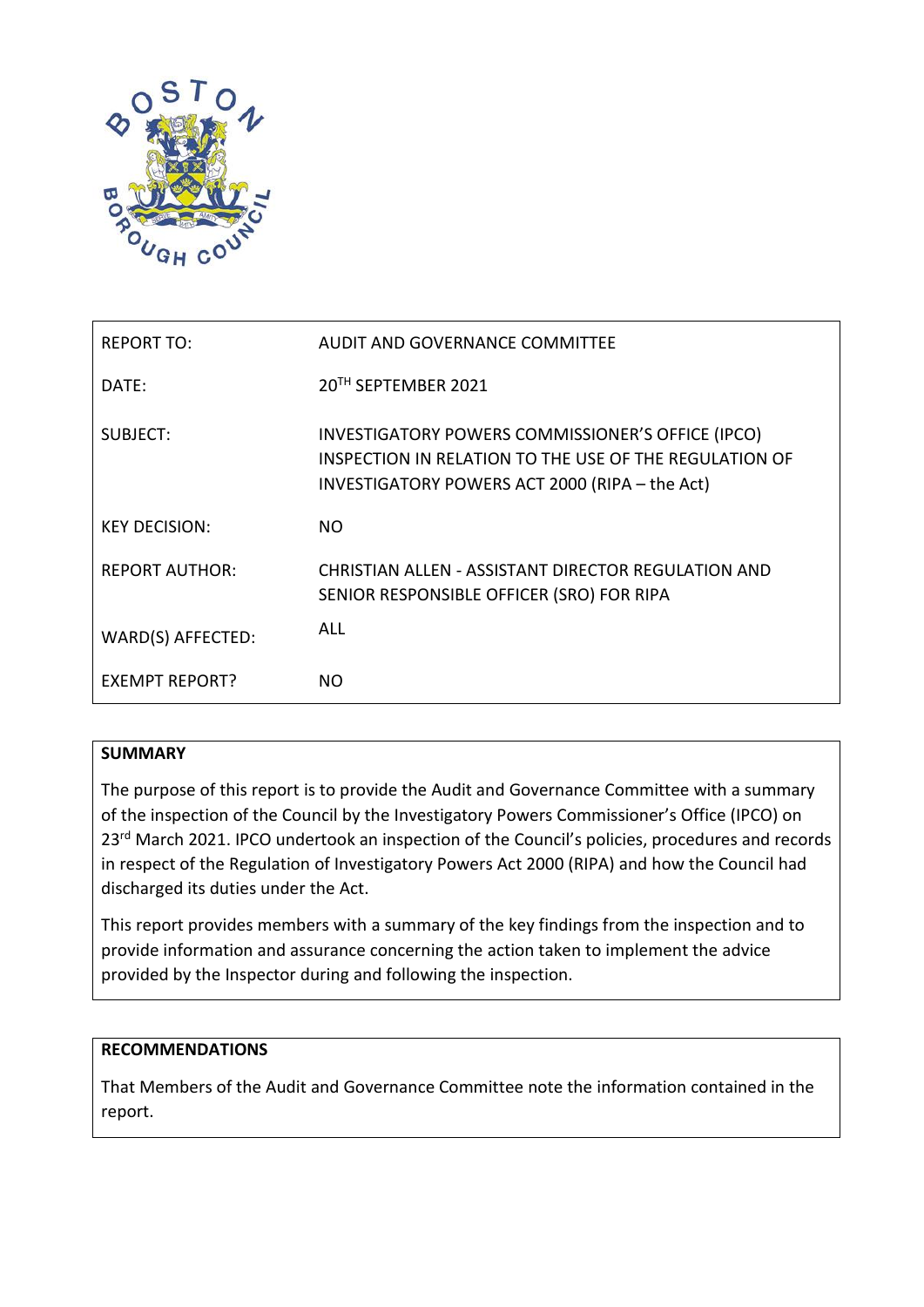

| REPORT TO:            | AUDIT AND GOVERNANCE COMMITTEE                                                                                                                                |
|-----------------------|---------------------------------------------------------------------------------------------------------------------------------------------------------------|
| DATE:                 | 20TH SEPTEMBER 2021                                                                                                                                           |
| SUBJECT:              | INVESTIGATORY POWERS COMMISSIONER'S OFFICE (IPCO)<br>INSPECTION IN RELATION TO THE USE OF THE REGULATION OF<br>INVESTIGATORY POWERS ACT 2000 (RIPA - the Act) |
| <b>KEY DECISION:</b>  | NO.                                                                                                                                                           |
| <b>REPORT AUTHOR:</b> | CHRISTIAN ALLEN - ASSISTANT DIRECTOR REGULATION AND<br>SENIOR RESPONSIBLE OFFICER (SRO) FOR RIPA                                                              |
| WARD(S) AFFECTED:     | ALL                                                                                                                                                           |
| EXEMPT REPORT?        | NO.                                                                                                                                                           |

## **SUMMARY**

The purpose of this report is to provide the Audit and Governance Committee with a summary of the inspection of the Council by the Investigatory Powers Commissioner's Office (IPCO) on 23<sup>rd</sup> March 2021. IPCO undertook an inspection of the Council's policies, procedures and records in respect of the Regulation of Investigatory Powers Act 2000 (RIPA) and how the Council had discharged its duties under the Act.

This report provides members with a summary of the key findings from the inspection and to provide information and assurance concerning the action taken to implement the advice provided by the Inspector during and following the inspection.

### **RECOMMENDATIONS**

That Members of the Audit and Governance Committee note the information contained in the report.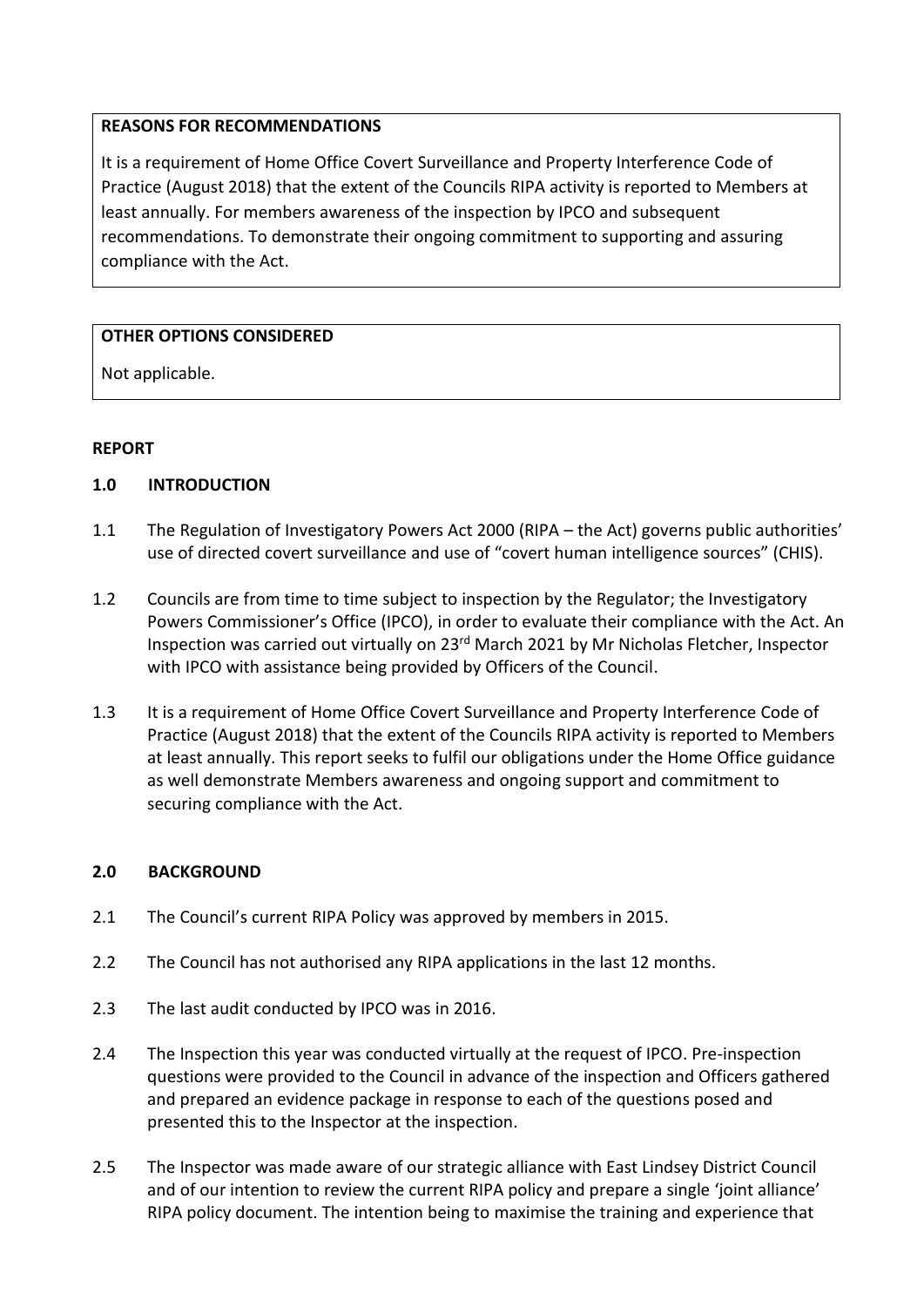## **REASONS FOR RECOMMENDATIONS**

It is a requirement of Home Office Covert Surveillance and Property Interference Code of Practice (August 2018) that the extent of the Councils RIPA activity is reported to Members at least annually. For members awareness of the inspection by IPCO and subsequent recommendations. To demonstrate their ongoing commitment to supporting and assuring compliance with the Act.

## **OTHER OPTIONS CONSIDERED**

Not applicable.

## **REPORT**

### **1.0 INTRODUCTION**

- 1.1 The Regulation of Investigatory Powers Act 2000 (RIPA the Act) governs public authorities' use of directed covert surveillance and use of "covert human intelligence sources" (CHIS).
- 1.2 Councils are from time to time subject to inspection by the Regulator; the Investigatory Powers Commissioner's Office (IPCO), in order to evaluate their compliance with the Act. An Inspection was carried out virtually on 23rd March 2021 by Mr Nicholas Fletcher, Inspector with IPCO with assistance being provided by Officers of the Council.
- 1.3 It is a requirement of Home Office Covert Surveillance and Property Interference Code of Practice (August 2018) that the extent of the Councils RIPA activity is reported to Members at least annually. This report seeks to fulfil our obligations under the Home Office guidance as well demonstrate Members awareness and ongoing support and commitment to securing compliance with the Act.

### **2.0 BACKGROUND**

- 2.1 The Council's current RIPA Policy was approved by members in 2015.
- 2.2 The Council has not authorised any RIPA applications in the last 12 months.
- 2.3 The last audit conducted by IPCO was in 2016.
- 2.4 The Inspection this year was conducted virtually at the request of IPCO. Pre-inspection questions were provided to the Council in advance of the inspection and Officers gathered and prepared an evidence package in response to each of the questions posed and presented this to the Inspector at the inspection.
- 2.5 The Inspector was made aware of our strategic alliance with East Lindsey District Council and of our intention to review the current RIPA policy and prepare a single 'joint alliance' RIPA policy document. The intention being to maximise the training and experience that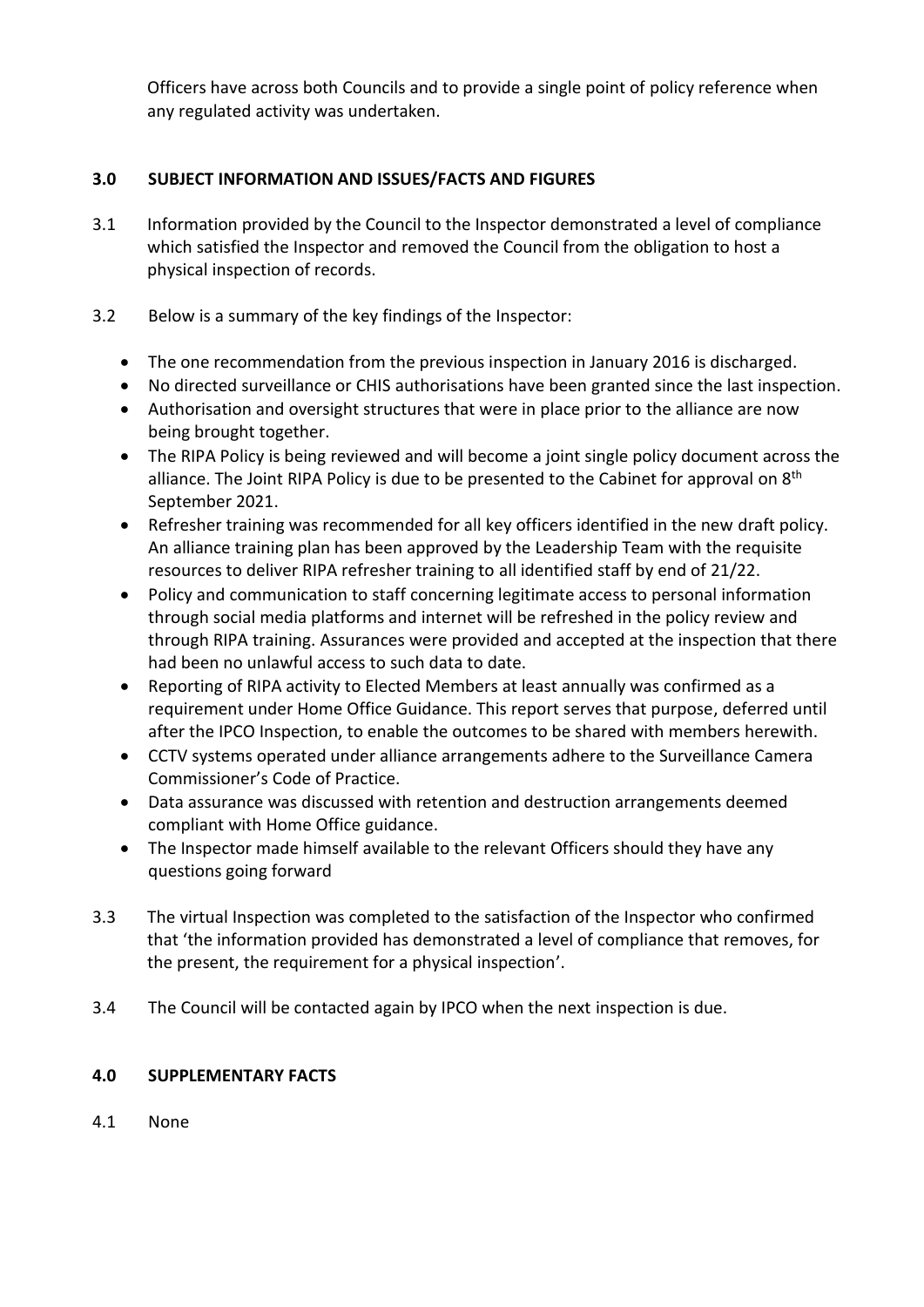Officers have across both Councils and to provide a single point of policy reference when any regulated activity was undertaken.

# **3.0 SUBJECT INFORMATION AND ISSUES/FACTS AND FIGURES**

- 3.1 Information provided by the Council to the Inspector demonstrated a level of compliance which satisfied the Inspector and removed the Council from the obligation to host a physical inspection of records.
- 3.2 Below is a summary of the key findings of the Inspector:
	- The one recommendation from the previous inspection in January 2016 is discharged.
	- No directed surveillance or CHIS authorisations have been granted since the last inspection.
	- Authorisation and oversight structures that were in place prior to the alliance are now being brought together.
	- The RIPA Policy is being reviewed and will become a joint single policy document across the alliance. The Joint RIPA Policy is due to be presented to the Cabinet for approval on 8<sup>th</sup> September 2021.
	- Refresher training was recommended for all key officers identified in the new draft policy. An alliance training plan has been approved by the Leadership Team with the requisite resources to deliver RIPA refresher training to all identified staff by end of 21/22.
	- Policy and communication to staff concerning legitimate access to personal information through social media platforms and internet will be refreshed in the policy review and through RIPA training. Assurances were provided and accepted at the inspection that there had been no unlawful access to such data to date.
	- Reporting of RIPA activity to Elected Members at least annually was confirmed as a requirement under Home Office Guidance. This report serves that purpose, deferred until after the IPCO Inspection, to enable the outcomes to be shared with members herewith.
	- CCTV systems operated under alliance arrangements adhere to the Surveillance Camera Commissioner's Code of Practice.
	- Data assurance was discussed with retention and destruction arrangements deemed compliant with Home Office guidance.
	- The Inspector made himself available to the relevant Officers should they have any questions going forward
- 3.3 The virtual Inspection was completed to the satisfaction of the Inspector who confirmed that 'the information provided has demonstrated a level of compliance that removes, for the present, the requirement for a physical inspection'.
- 3.4 The Council will be contacted again by IPCO when the next inspection is due.

## **4.0 SUPPLEMENTARY FACTS**

4.1 None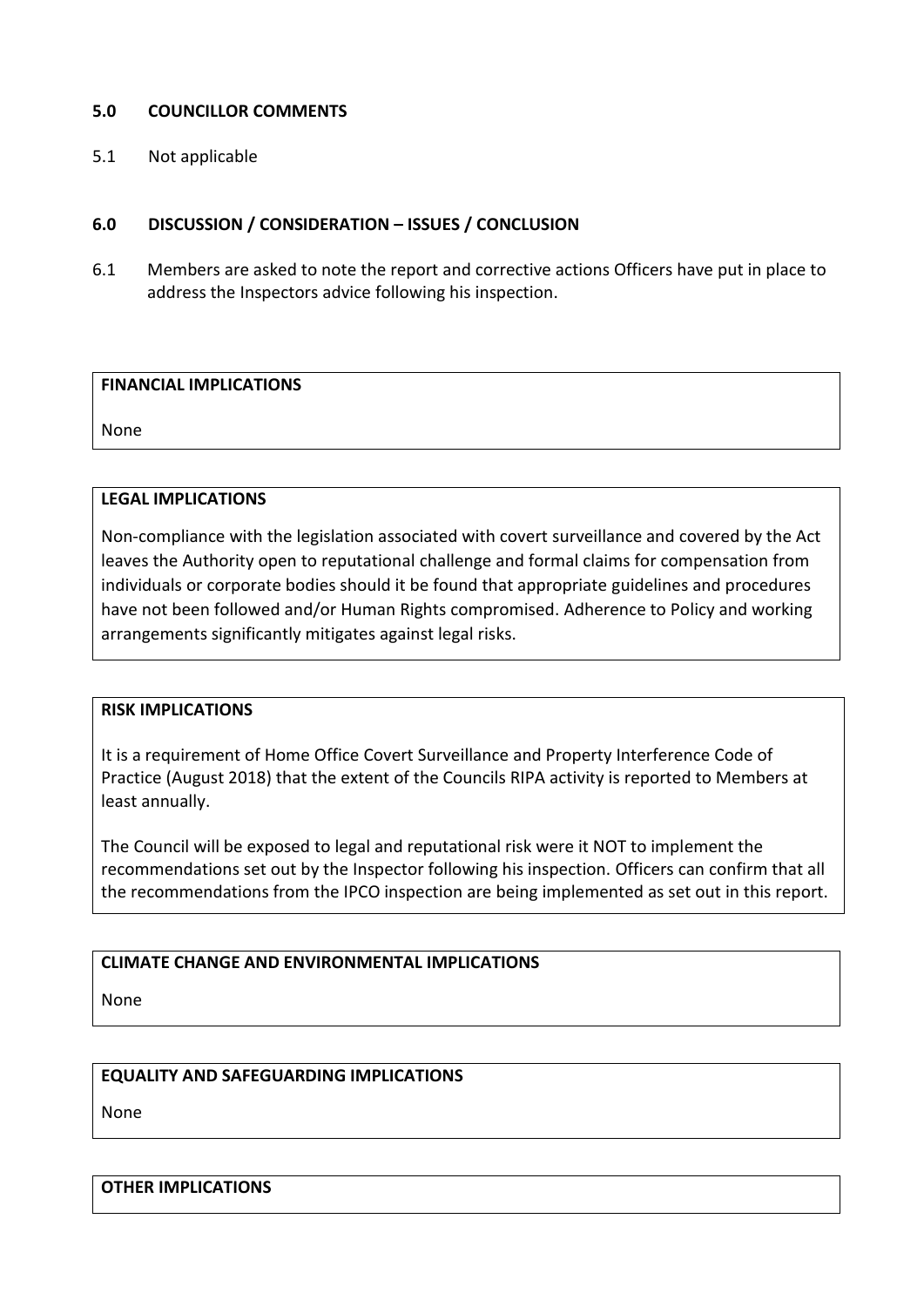## **5.0 COUNCILLOR COMMENTS**

5.1 Not applicable

## **6.0 DISCUSSION / CONSIDERATION – ISSUES / CONCLUSION**

6.1 Members are asked to note the report and corrective actions Officers have put in place to address the Inspectors advice following his inspection.

#### **FINANCIAL IMPLICATIONS**

None

### **LEGAL IMPLICATIONS**

Non-compliance with the legislation associated with covert surveillance and covered by the Act leaves the Authority open to reputational challenge and formal claims for compensation from individuals or corporate bodies should it be found that appropriate guidelines and procedures have not been followed and/or Human Rights compromised. Adherence to Policy and working arrangements significantly mitigates against legal risks.

### **RISK IMPLICATIONS**

It is a requirement of Home Office Covert Surveillance and Property Interference Code of Practice (August 2018) that the extent of the Councils RIPA activity is reported to Members at least annually.

The Council will be exposed to legal and reputational risk were it NOT to implement the recommendations set out by the Inspector following his inspection. Officers can confirm that all the recommendations from the IPCO inspection are being implemented as set out in this report.

## **CLIMATE CHANGE AND ENVIRONMENTAL IMPLICATIONS**

None

### **EQUALITY AND SAFEGUARDING IMPLICATIONS**

None

### **OTHER IMPLICATIONS**